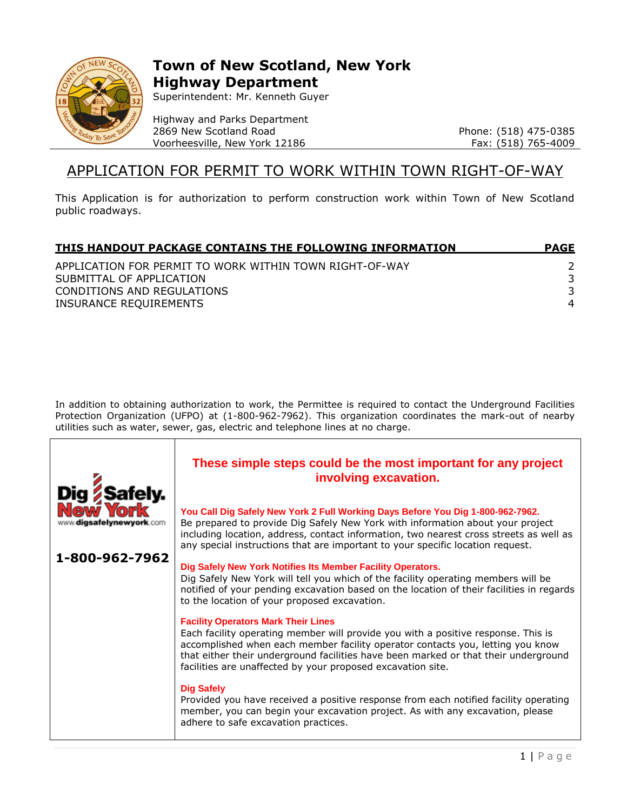

## **Town of New Scotland, New York Highway Department**

Superintendent: Mr. Kenneth Guyer

Highway and Parks Department 2869 New Scotland Road Voorheesville, New York 12186

Phone: (518) 475-0385 Fax: (518) 765-4009

### APPLICATION FOR PERMIT TO WORK WITHIN TOWN RIGHT-OF-WAY

This Application is for authorization to perform construction work within Town of New Scotland public roadways.

| THIS HANDOUT PACKAGE CONTAINS THE FOLLOWING INFORMATION | <b>PAGE</b> |
|---------------------------------------------------------|-------------|
| APPLICATION FOR PERMIT TO WORK WITHIN TOWN RIGHT-OF-WAY |             |
| SUBMITTAL OF APPLICATION                                |             |
| CONDITIONS AND REGULATIONS                              |             |
| INSURANCE REQUIREMENTS                                  | 4           |

In addition to obtaining authorization to work, the Permittee is required to contact the Underground Facilities Protection Organization (UFPO) at (1-800-962-7962). This organization coordinates the mark-out of nearby utilities such as water, sewer, gas, electric and telephone lines at no charge.

|                | These simple steps could be the most important for any project<br>involving excavation.                                                                                                                                                                                                                                                                                 |
|----------------|-------------------------------------------------------------------------------------------------------------------------------------------------------------------------------------------------------------------------------------------------------------------------------------------------------------------------------------------------------------------------|
|                | You Call Dig Safely New York 2 Full Working Days Before You Dig 1-800-962-7962.<br>Be prepared to provide Dig Safely New York with information about your project<br>including location, address, contact information, two nearest cross streets as well as<br>any special instructions that are important to your specific location request.                           |
| 1-800-962-7962 | Dig Safely New York Notifies Its Member Facility Operators.<br>Dig Safely New York will tell you which of the facility operating members will be<br>notified of your pending excavation based on the location of their facilities in regards<br>to the location of your proposed excavation.                                                                            |
|                | <b>Facility Operators Mark Their Lines</b><br>Each facility operating member will provide you with a positive response. This is<br>accomplished when each member facility operator contacts you, letting you know<br>that either their underground facilities have been marked or that their underground<br>facilities are unaffected by your proposed excavation site. |
|                | <b>Dig Safely</b><br>Provided you have received a positive response from each notified facility operating<br>member, you can begin your excavation project. As with any excavation, please<br>adhere to safe excavation practices.                                                                                                                                      |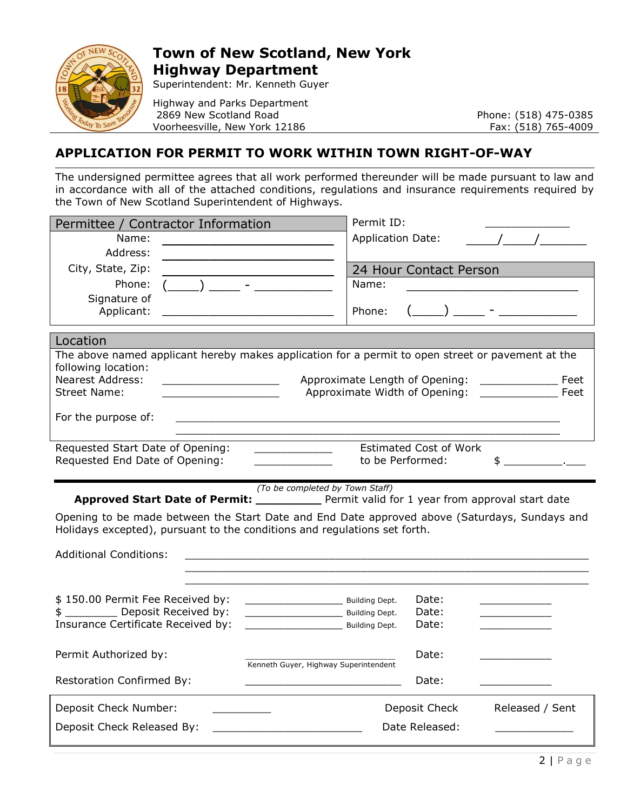

# **Town of New Scotland, New York Highway Department**

Superintendent: Mr. Kenneth Guyer

Highway and Parks Department 2869 New Scotland Road Voorheesville, New York 12186

Phone: (518) 475-0385 Fax: (518) 765-4009

#### **APPLICATION FOR PERMIT TO WORK WITHIN TOWN RIGHT-OF-WAY**

The undersigned permittee agrees that all work performed thereunder will be made pursuant to law and in accordance with all of the attached conditions, regulations and insurance requirements required by the Town of New Scotland Superintendent of Highways.

| Permittee / Contractor Information                                                                                                                                         | Permit ID:                       |
|----------------------------------------------------------------------------------------------------------------------------------------------------------------------------|----------------------------------|
| Name:                                                                                                                                                                      | <b>Application Date:</b>         |
| Address:                                                                                                                                                                   |                                  |
| City, State, Zip:<br>Phone:                                                                                                                                                | 24 Hour Contact Person<br>Name:  |
| Signature of                                                                                                                                                               |                                  |
| Applicant:                                                                                                                                                                 | Phone:                           |
| Location                                                                                                                                                                   |                                  |
| The above named applicant hereby makes application for a permit to open street or pavement at the                                                                          |                                  |
| following location:<br><b>Nearest Address:</b>                                                                                                                             | Approximate Length of Opening:   |
| <u> 1980 - Johann Barn, fransk politik (</u><br><b>Street Name:</b>                                                                                                        | Approximate Width of Opening:    |
| For the purpose of:<br><u> 2000 - Jan Barnett, fransk politik (d. 1888)</u>                                                                                                |                                  |
| Requested Start Date of Opening:                                                                                                                                           | <b>Estimated Cost of Work</b>    |
| Requested End Date of Opening:                                                                                                                                             | to be Performed:<br>\$           |
|                                                                                                                                                                            |                                  |
|                                                                                                                                                                            |                                  |
| (To be completed by Town Staff)<br><b>Approved Start Date of Permit:</b> ______________ Permit valid for 1 year from approval start date                                   |                                  |
| Opening to be made between the Start Date and End Date approved above (Saturdays, Sundays and<br>Holidays excepted), pursuant to the conditions and regulations set forth. |                                  |
| <b>Additional Conditions:</b>                                                                                                                                              |                                  |
|                                                                                                                                                                            |                                  |
| \$150.00 Permit Fee Received by:                                                                                                                                           | Date:                            |
| Building Dept.<br>\$ __________ Deposit Received by:<br><b>Example 18 Solution</b> Building Dept.                                                                          | Date:                            |
| Insurance Certificate Received by:<br><b>Example 18 Solution</b> Building Dept.                                                                                            | Date:                            |
|                                                                                                                                                                            |                                  |
| Permit Authorized by:<br>Kenneth Guyer, Highway Superintendent                                                                                                             | Date:                            |
| <b>Restoration Confirmed By:</b>                                                                                                                                           | Date:                            |
| Deposit Check Number:                                                                                                                                                      | Deposit Check<br>Released / Sent |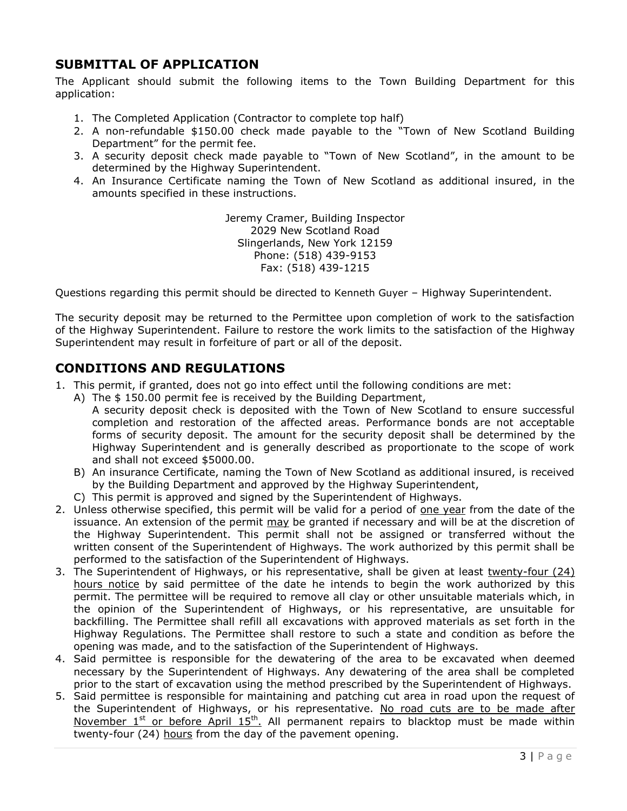#### **SUBMITTAL OF APPLICATION**

The Applicant should submit the following items to the Town Building Department for this application:

- 1. The Completed Application (Contractor to complete top half)
- 2. A non-refundable \$150.00 check made payable to the "Town of New Scotland Building Department" for the permit fee.
- 3. A security deposit check made payable to "Town of New Scotland", in the amount to be determined by the Highway Superintendent.
- 4. An Insurance Certificate naming the Town of New Scotland as additional insured, in the amounts specified in these instructions.

Jeremy Cramer, Building Inspector 2029 New Scotland Road Slingerlands, New York 12159 Phone: (518) 439-9153 Fax: (518) 439-1215

Questions regarding this permit should be directed to Kenneth Guyer – Highway Superintendent.

The security deposit may be returned to the Permittee upon completion of work to the satisfaction of the Highway Superintendent. Failure to restore the work limits to the satisfaction of the Highway Superintendent may result in forfeiture of part or all of the deposit.

#### **CONDITIONS AND REGULATIONS**

- 1. This permit, if granted, does not go into effect until the following conditions are met:
	- A) The \$ 150.00 permit fee is received by the Building Department, A security deposit check is deposited with the Town of New Scotland to ensure successful completion and restoration of the affected areas. Performance bonds are not acceptable forms of security deposit. The amount for the security deposit shall be determined by the Highway Superintendent and is generally described as proportionate to the scope of work and shall not exceed \$5000.00.
	- B) An insurance Certificate, naming the Town of New Scotland as additional insured, is received by the Building Department and approved by the Highway Superintendent,
	- C) This permit is approved and signed by the Superintendent of Highways.
- 2. Unless otherwise specified, this permit will be valid for a period of one year from the date of the issuance. An extension of the permit may be granted if necessary and will be at the discretion of the Highway Superintendent. This permit shall not be assigned or transferred without the written consent of the Superintendent of Highways. The work authorized by this permit shall be performed to the satisfaction of the Superintendent of Highways.
- 3. The Superintendent of Highways, or his representative, shall be given at least twenty-four (24) hours notice by said permittee of the date he intends to begin the work authorized by this permit. The permittee will be required to remove all clay or other unsuitable materials which, in the opinion of the Superintendent of Highways, or his representative, are unsuitable for backfilling. The Permittee shall refill all excavations with approved materials as set forth in the Highway Regulations. The Permittee shall restore to such a state and condition as before the opening was made, and to the satisfaction of the Superintendent of Highways.
- 4. Said permittee is responsible for the dewatering of the area to be excavated when deemed necessary by the Superintendent of Highways. Any dewatering of the area shall be completed prior to the start of excavation using the method prescribed by the Superintendent of Highways.
- 5. Said permittee is responsible for maintaining and patching cut area in road upon the request of the Superintendent of Highways, or his representative. No road cuts are to be made after November  $1<sup>st</sup>$  or before April  $15<sup>th</sup>$ . All permanent repairs to blacktop must be made within twenty-four (24) hours from the day of the pavement opening.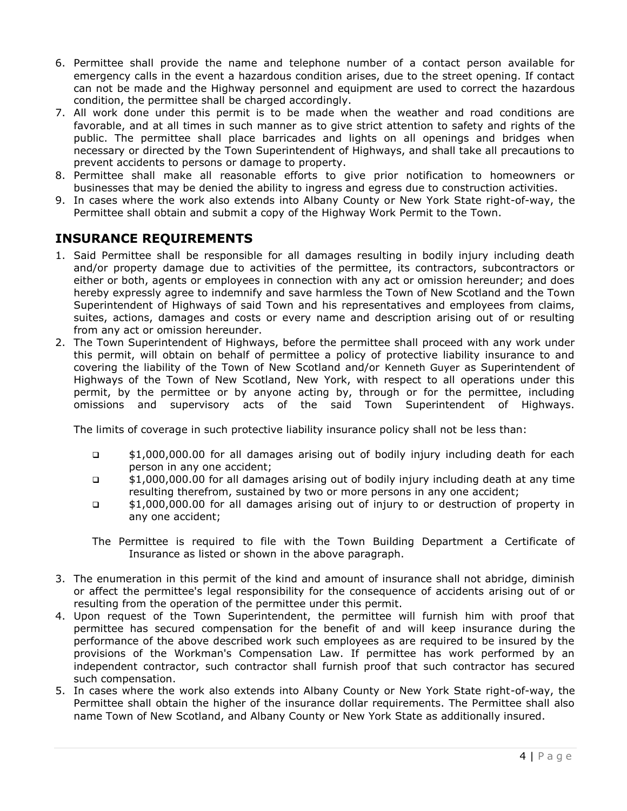- 6. Permittee shall provide the name and telephone number of a contact person available for emergency calls in the event a hazardous condition arises, due to the street opening. If contact can not be made and the Highway personnel and equipment are used to correct the hazardous condition, the permittee shall be charged accordingly.
- 7. All work done under this permit is to be made when the weather and road conditions are favorable, and at all times in such manner as to give strict attention to safety and rights of the public. The permittee shall place barricades and lights on all openings and bridges when necessary or directed by the Town Superintendent of Highways, and shall take all precautions to prevent accidents to persons or damage to property.
- 8. Permittee shall make all reasonable efforts to give prior notification to homeowners or businesses that may be denied the ability to ingress and egress due to construction activities.
- 9. In cases where the work also extends into Albany County or New York State right-of-way, the Permittee shall obtain and submit a copy of the Highway Work Permit to the Town.

#### **INSURANCE REQUIREMENTS**

- 1. Said Permittee shall be responsible for all damages resulting in bodily injury including death and/or property damage due to activities of the permittee, its contractors, subcontractors or either or both, agents or employees in connection with any act or omission hereunder; and does hereby expressly agree to indemnify and save harmless the Town of New Scotland and the Town Superintendent of Highways of said Town and his representatives and employees from claims, suites, actions, damages and costs or every name and description arising out of or resulting from any act or omission hereunder.
- 2. The Town Superintendent of Highways, before the permittee shall proceed with any work under this permit, will obtain on behalf of permittee a policy of protective liability insurance to and covering the liability of the Town of New Scotland and/or Kenneth Guyer as Superintendent of Highways of the Town of New Scotland, New York, with respect to all operations under this permit, by the permittee or by anyone acting by, through or for the permittee, including omissions and supervisory acts of the said Town Superintendent of Highways.

The limits of coverage in such protective liability insurance policy shall not be less than:

- \$1,000,000.00 for all damages arising out of bodily injury including death for each person in any one accident;
- \$1,000,000.00 for all damages arising out of bodily injury including death at any time resulting therefrom, sustained by two or more persons in any one accident;
- \$1,000,000.00 for all damages arising out of injury to or destruction of property in any one accident;
- The Permittee is required to file with the Town Building Department a Certificate of Insurance as listed or shown in the above paragraph.
- 3. The enumeration in this permit of the kind and amount of insurance shall not abridge, diminish or affect the permittee's legal responsibility for the consequence of accidents arising out of or resulting from the operation of the permittee under this permit.
- 4. Upon request of the Town Superintendent, the permittee will furnish him with proof that permittee has secured compensation for the benefit of and will keep insurance during the performance of the above described work such employees as are required to be insured by the provisions of the Workman's Compensation Law. If permittee has work performed by an independent contractor, such contractor shall furnish proof that such contractor has secured such compensation.
- 5. In cases where the work also extends into Albany County or New York State right-of-way, the Permittee shall obtain the higher of the insurance dollar requirements. The Permittee shall also name Town of New Scotland, and Albany County or New York State as additionally insured.